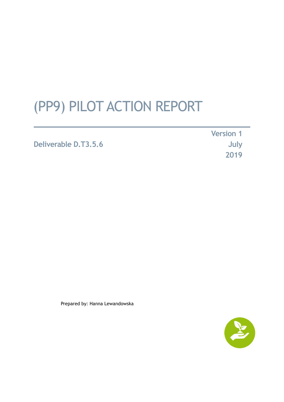# (PP9) PILOT ACTION REPORT

# **Deliverable D.T3.5.6**

**Version 1 July 2019**

Prepared by: Hanna Lewandowska

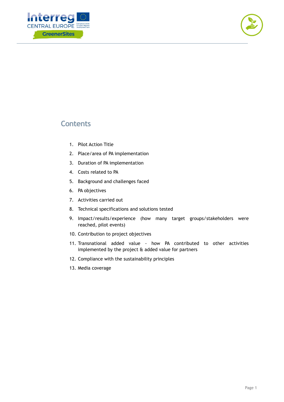



# **Contents**

- 1. Pilot Action Title
- 2. Place/area of PA implementation
- 3. Duration of PA implementation
- 4. Costs related to PA
- 5. Background and challenges faced
- 6. PA objectives
- 7. Activities carried out
- 8. Technical specifications and solutions tested
- 9. Impact/results/experience (how many target groups/stakeholders were reached, pilot events)
- 10. Contribution to project objectives
- 11. Transnational added value how PA contributed to other activities implemented by the project & added value for partners
- 12. Compliance with the sustainability principles
- 13. Media coverage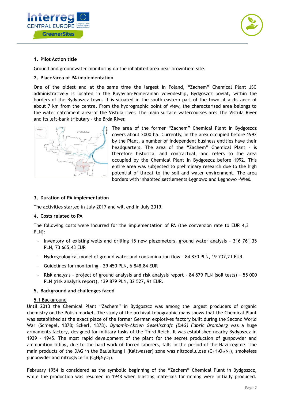



## **1. Pilot Action title**

Ground and groundwater monitoring on the inhabited area near brownfield site.

### **2. Place/area of PA implementation**

One of the oldest and at the same time the largest in Poland, "Zachem" Chemical Plant JSC administratively is located in the Kuyavian-Pomeranian voivodeship, Bydgoszcz poviat, within the borders of the Bydgoszcz town. It is situated in the south-eastern part of the town at a distance of about 7 km from the centre, From the hydrographic point of view, the characterised area belongs to the water catchment area of the Vistula river. The main surface watercourses are: The Vistula River and its left-bank tributary - the Brda River.



The area of the former "Zachem" Chemical Plant in Bydgoszcz covers about 2000 ha. Currently, in the area occupied before 1992 by the Plant, a number of independent business entities have their headquarters. The area of the "Zachem" Chemical Plant – is therefore historical and contractual, and refers to the area occupied by the Chemical Plant in Bydgoszcz before 1992. This entire area was subjected to preliminary research due to the high potential of threat to the soil and water environment. The area borders with inhabited settlements Łęgnowo and Łęgnowo –Wieś.

#### **3. Duration of PA implementation**

The activities started in July 2017 and will end in July 2019.

#### **4. Costs related to PA**

The following costs were incurred for the implementation of PA (the conversion rate to EUR 4,3 PLN):

- Inventory of existing wells and drilling 15 new piezometers, ground water analysis 316 761,35 PLN, 73 665,43 EUR
- Hydrogeological model of ground water and contamination flow 84 870 PLN, 19 737,21 EUR.
- Guidelines for monitoring 29 450 PLN, 6 848,84 EUR
- Risk analysis project of ground analysis and risk analysis report 84 879 PLN (soil tests) + 55 000 PLN (risk analysis report), 139 879 PLN, 32 527, 91 EUR.

#### **5. Background and challenges faced**

#### 5.1 Background

Until 2013 the Chemical Plant "Zachem" in Bydgoszcz was among the largest producers of organic chemistry on the Polish market. The study of the archival topographic maps shows that the Chemical Plant was established at the exact place of the former German explosives factory built during the Second World War (Schiegel, 1878; Sckerl, 1878). *Dynamit-Aktien Gesellschaft (DAG) Fabric Bromberg* was a huge armaments factory, designed for military tasks of the Third Reich. It was established nearby Bydgoszcz in 1939 – 1945. The most rapid development of the plant for the secret production of gunpowder and ammunition filling, due to the hard work of forced laborers, falls in the period of the Nazi regime. The main products of the DAG in the Bauleitung I (Kaltwasser) zone was nitrocellulose  $(C_6H_7O_{11}N_3)$ , smokeless gunpowder and nitroglycerin  $(C_3H_5N_3O_9)$ .

February 1954 is considered as the symbolic beginning of the "Zachem" Chemical Plant in Bydgoszcz, while the production was resumed in 1948 when blasting materials for mining were initially produced.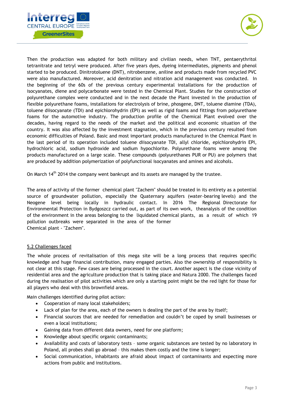



Then the production was adapted for both military and civilian needs, when TNT, pentaerythritol tetranitrate and tetryl were produced. After five years dyes, dyeing intermediates, pigments and phenol started to be produced. Dinitrotoluene (DNT), nitrobenzene, aniline and products made from recycled PVC were also manufactured. Moreover, acid denitration and nitration acid management was conducted. In the beginning of the 60s of the previous century experimental installations for the production of isocyanates, diene and polycarbonate were tested in the Chemical Plant. Studies for the construction of polyurethane complex were conducted and in the next decade the Plant invested in the production of flexible polyurethane foams, installations for electrolysis of brine, phosgene, DNT, toluene diamine (TDA), toluene diisocyanate (TDI) and epichlorohydrin (EPI) as well as rigid foams and fittings from polyurethane foams for the automotive industry. The production profile of the Chemical Plant evolved over the decades, having regard to the needs of the market and the political and economic situation of the country. It was also affected by the investment stagnation, which in the previous century resulted from economic difficulties of Poland. Basic and most important products manufactured in the Chemical Plant in the last period of its operation included toluene diisocyanate TDI, allyl chloride, epichlorohydrin EPI, hydrochloric acid, sodium hydroxide and sodium hypochlorite. Polyurethane foams were among the products manufactured on a large scale. These compounds (polyurethanes PUR or PU) are polymers that are produced by addition polymerization of polyfunctional isocyanates and amines and alcohols.

On March 14<sup>th</sup> 2014 the company went bankrupt and its assets are managed by the trustee.

The area of activity of the former chemical plant "Zachem" should be treated in its entirety as a potential source of groundwater pollution, especially the Quaternary aquifers (water-bearing levels) and the Neogene level being locally in hydraulic contact. In 2016 The Regional Directorate for Environmental Protection in Bydgoszcz carried out, as part of its own work, theanalysis of the condition of the environment in the areas belonging to the liquidated chemical plants, as a result of which 19 pollution outbreaks were separated in the area of the former Chemical plant - "Zachem".

## 5.2 Challenges faced

The whole process of revitalisation of this mega site will be a long process that requires specific knowledge and huge financial contribution, many engaged parties. Also the ownership of responsibility is not clear at this stage. Few cases are being processed in the court. Another aspect is the close vicinity of residential area and the agriculture production that is taking place and Natura 2000. The challenges faced during the realisation of pilot activities which are only a starting point might be the red light for those for all players who deal with this brownfield areas.

Main challenges identified during pilot action:

- Cooperation of many local stakeholders;
- Lack of plan for the area, each of the owners is dealing the part of the area by itself;
- Financial sources that are needed for remediation and couldn't be coped by small businesses or even a local institutions;
- Gaining data from different data owners, need for one platform;
- Knowledge about specific organic contaminants;
- Availability and costs of laboratory tests some organic substances are tested by no laboratory in Poland, all probes shall go abroad – this makes them costly and the time is longer;
- Social communication, inhabitants are afraid about impact of contaminants and expecting more actions from public and institutions.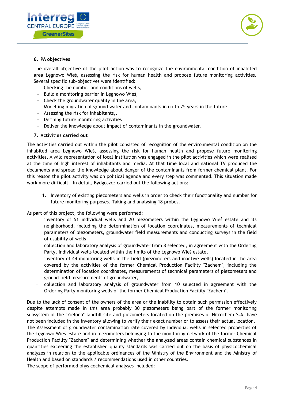



### **6. PA objectives**

The overall objective of the pilot action was to recognize the environmental condition of inhabited area Łęgnowo Wieś, assessing the risk for human health and propose future monitoring activities. Several specific sub-objectives were identified:

- Checking the number and conditions of wells,
- Build a monitoring barrier in Łęgnowo Wieś,
- Check the groundwater quality in the area,
- Modelling migration of ground water and contaminants in up to 25 years in the future,
- Assessing the risk for inhabitants,,
- Defining future monitoring activities
- Deliver the knowledge about impact of contaminants in the groundwater.

#### **7. Activities carried out**

The activities carried out within the pilot consisted of recognition of the environmental condition on the inhabited area Łęgnowo Wieś, assessing the risk for human health and propose future monitoring activities. A wild representation of local institution was engaged in the pilot activities which were realised at the time of high interest of inhabitants and media. At that time local and national TV produced the documents and spread the knowledge about danger of the contaminants from former chemical plant. For this reason the pilot activity was on political agenda and every step was commented. This situation made work more difficult. In detail, Bydgoszcz carried out the following actions:

1. Inventory of existing piezometers and wells in order to check their functionality and number for future monitoring purposes. Taking and analysing 18 probes.

As part of this project, the following were performed:

- inventory of 51 individual wells and 20 piezometers within the Łęgnowo Wieś estate and its neighborhood, including the determination of location coordinates, measurements of technical parameters of piezometers, groundwater field measurements and conducting surveys in the field of usability of wells,
- collection and laboratory analysis of groundwater from 8 selected, in agreement with the Ordering Party, individual wells located within the limits of the Łęgnowo Wieś estate,
- inventory of 44 monitoring wells in the field (piezometers and inactive wells) located in the area covered by the activities of the former Chemical Production Facility "Zachem", including the determination of location coordinates, measurements of technical parameters of piezometers and ground field measurements of groundwater,
- collection and laboratory analysis of groundwater from 10 selected in agreement with the Ordering Party monitoring wells of the former Chemical Production Facility "Zachem".

Due to the lack of consent of the owners of the area or the inability to obtain such permission effectively despite attempts made in this area probably 30 piezometers being part of the former monitoring subsystem of the "Zielona" landfill site and piezometers located on the premises of Nitrochem S.A. have not been included in the inventory allowing to verify their exact number or to assess their actual location.

The Assessment of groundwater contamination rate covered by individual wells in selected properties of the Łęgnowo Wieś estate and in piezometers belonging to the monitoring network of the former Chemical Production Facility "Zachem" and determining whether the analyzed areas contain chemical substances in quantities exceeding the established quality standards was carried out on the basis of physicochemical analyzes in relation to the applicable ordinances of the Ministry of the Environment and the Ministry of Health and based on standards / recommendations used in other countries.

The scope of performed physicochemical analyses included: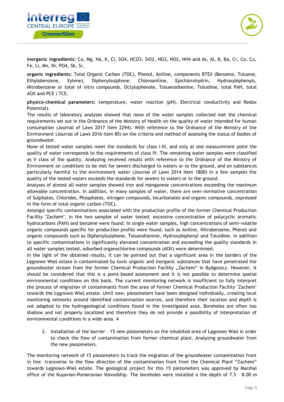



**inorganic ingredients:** Ca, Mg, Na, K, Cl, SO4, HCO3, SiO2, NO3, NO2, NH4 and As, Al, B, Ba, Cr, Co, Cu, Fe, Li, Mn, Ni, PO4, Sb, Sr,

**organic ingredients:** Total Organic Carbon (TOC), Phenol, Aniline, components BTEX (Benzene, Toluene, Ethylobenzene, Xylene), Diphenylsulphone, Chloroaniline, Epichlorohydrin, Hydroxybiphenyls, Nitrobenzene or total of nitro compounds, Octylophenole, Toluenodiamine, Toluidine, total PAH, total AOX and PCE i TCE,

**physico-chemical parameters:** temperature, water reaction (pH), Electrical conductivity and Redox Potential).

The results of laboratory analyses showed that none of the water samples collected met the chemical requirements set out in the Ordnance of the Ministry of Health on the quality of water intended for human consumption (Journal of Laws 2017 item 2294). With reference to the Ordnance of the Ministry of the Environment (Journal of Laws 2016 item 85) on the criteria and method of assessing the status of bodies of groundwater.

None of tested water samples meet the standards for class I-III, and only at one measurement point the quality of water corresponds to the requirements of class IV. The remaining water samples were classified as V class of the quality. Analyzing received results with reference to the Ordnance of the Ministry of Environment on conditions to be met for sewers discharged to waters or to the ground, and on substances particularly harmful to the environment water (Journal of Laws 2014 item 1800) in a few samples the quality of the tested waters exceeds the standards for sewers to waters or to the ground.

Analyses of almost all water samples showed iron and manganese concentrations exceeding the maximum allowable concentration. In addition, in many samples of water, there are over-normative concentration of Sulphates, Chlorides, Phosphates, nitrogen compounds, bicarbonates and organic compounds, expressed in the form of total organic carbon (TOC).

Amongst specific contaminations associated with the production profile of the former Chemical Production Facility "Zachem", in the two samples of water tested, excessive concentration of polycyclic aromatic hydrocarbons (PAH) and benzene were found. In single water samples, high concentrations of semi-volatile organic compounds specific for production profile were found, such as Aniline, Nitrobenzene, Phenol and organic compounds such as Diphenylsulphone, Toluendiamine, Hydroxybiphenyl and Toluidine. In addition to specific contaminations in significantly elevated concentration and exceeding the quality standards in all water samples tested, adsorbed organochlorine compounds (AOX) were determined.

In the light of the obtained results, it can be pointed out that a significant area in the borders of the Łęgnowo Wieś estate is contaminated by toxic organic and inorganic substances that have penetrated the groundwater stream from the former Chemical Production Facility "Zachem" in Bydgoszcz. However, it should be considered that this is a point-based assessment and it is not possible to determine spatial environmental conditions on this basis. The current monitoring network is insufficient to fully interpret the process of migration of contaminants from the area of former Chemical Production Facility "Zachem" towards the Łęgnowo Wieś estate. Until now, piezometers have been designed individually, creating local monitoring networks around identified contamination sources, and therefore their location and depth is not adapted to the hydrogeological conditions found in the investigated area. Boreholes are often too shallow and not properly localized and therefore they do not provide a possibility of interpretation of environmental conditions in a wide area. 4

2. Installation of the barrier - 15 new piezometers on the inhabited area of Łęgnowo Wieś in order to check the flow of contamination from former chemical plant. Analysing groundwater from the new piezometers.

The monitoring network of 15 piezometers to track the migration of the groundwater contamination front in line –transverse to the flow direction of the contamination front from the Chemical Plant "Zachem" towards Łęgnowo-Wieś estate. The geological project for this 15 piezometers was approved by Marshal office of the Kuyavian-Pomeranian Voivodship. The boreholes were installed o the depth of 7.5 – 8.00 m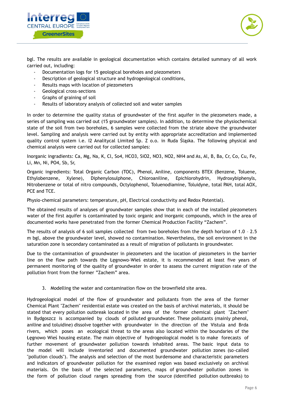



bgl. The results are available in geological documentation which contains detailed summary of all work carried out, including:

- Documentation logs for 15 geological boreholes and piezometers
- Description of geological structure and hydrogeological conditions,
- Results maps with location of piezometers
- Geological cross-sections
- Graphs of graining of soil
- Results of laboratory analysis of collected soil and water samples

In order to determine the quality status of groundwater of the first aquifer in the piezometers made, a series of sampling was carried out (15 groundwater samples). In addition, to determine the physiochemical state of the soil from two boreholes, 6 samples were collected from the striate above the groundwater level. Sampling and analysis were carried out by entity with appropriate accreditation and implemented quality control system i.e. I2 Analitycal Limited Sp. Z o.o. in Ruda Śląska. The following physical and chemical analysis were carried out for collected samples:

Inorganic ingradients: Ca, Mg, Na, K, Cl, So4, HCO3, SiO2, NO3, NO2, NH4 and As, Al, B, Ba, Cr, Co, Cu, Fe, Li, Mn, Ni, PO4, Sb, Sr,

Organic ingredients: Total Organic Carbon (TOC), Phenol, Aniline, components BTEX (Benzene, Toluene, Ethylobenzene, Xylene), Diphenylosulphone, Chloroaniline, Epichlorohydrin, Hydroxybiphenyls, Nitrobenzene or total of nitro compounds, Octylophenol, Toluenodiamine, Toluidyne, total PAH, total AOX, PCE and TCE.

Physio-chemical parameters: temperature, pH, Electrical conductivity and Redox Potential).

The obtained results of analyses of groundwater samples show that in each of the installed piezometers water of the first aquifer is contaminated by toxic organic and inorganic compounds, which in the area of documented works have penetrated from the former Chemical Production Facility "Zachem".

The results of analysis of 6 soil samples collected from two boreholes from the depth horizon of 1.0 – 2.5 m bgl, above the groundwater level, showed no contamination. Nevertheless, the soil environment in the saturation zone is secondary contaminated as a result of migration of pollutants in groundwater.

Due to the contamination of groundwater in piezometers and the location of piezometers in the barrier line on the flow path towards the Łęgnowo-Wieś estate, it is recommended at least five years of permanent monitoring of the quality of groundwater in order to assess the current migration rate of the pollution front from the former "Zachem" area.

3. Modelling the water and contamination flow on the brownfield site area.

Hydrogeological model of the flow of groundwater and pollutants from the area of the former Chemical Plant "Zachem" residential estate was created on the basis of archival materials, it should be stated that every pollution outbreak located in the area of the former chemical plant "Zachem" in Bydgoszcz is accompanied by clouds of polluted groundwater. These pollutants (mainly phenol, aniline and toluidine) dissolve together with groundwater in the direction of the Vistula and Brda rivers, which poses an ecological threat to the areas also located within the boundaries of the Łęgnowo Wieś housing estate. The main objective of hydrogeological model is to make forecasts of further movement of groundwater pollution towards inhabited areas. The basic input data to the model will include inventoried and documented groundwater pollution zones (so-called "pollution clouds"). The analysis and selection of the most burdensome and characteristic parameters and indicators of groundwater pollution for the examined region was based exclusively on archival materials. On the basis of the selected parameters, maps of groundwater pollution zones in the form of pollution cloud ranges spreading from the source (identified pollution outbreaks) to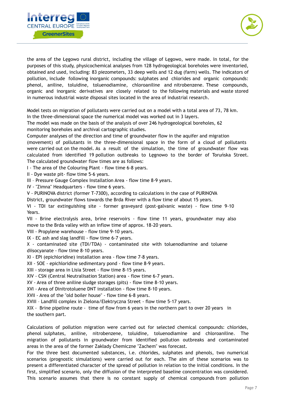



the area of the Łęgowo rural district, including the village of Łęgowo, were made. In total, for the purposes of this study, physicochemical analyses from 128 hydrogeological boreholes were inventoried, obtained and used, including: 83 piezometers, 33 deep wells and 12 dug (farm) wells. The indicators of pollution, include following inorganic compounds: sulphates and chlorides and organic compounds: phenol, aniline, toluidine, toluenodiamine, chloroaniline and nitrobenzene. These compounds, organic and inorganic derivatives are closely related to the following materials and waste stored in numerous industrial waste disposal sites located in the area of industrial research.

Model tests on migration of pollutants were carried out on a model with a total area of 73, 78 km. In the three-dimensional space the numerical model was worked out in 3 layers.

The model was made on the basis of the analysis of over 246 hydrogeological boreholes, 62 monitoring boreholes and archival cartographic studies.

Computer analyses of the direction and time of groundwater flow in the aquifer and migration

(movement) of pollutants in the three-dimensional space in the form of a cloud of pollutants were carried out on the model. As a result of the simulation, the time of groundwater flow was calculated from identified 19 pollution outbreaks to Łęgnowo to the border of Toruńska Street. The calculated groundwater flow times are as follows:

I - The area of the Colouring Plant - flow time 6-8 years.

II - Dye waste pit- flow time 5-6 years.

III – Pressure Gauge Complex Installation Area - flow time 8-9 years.

IV - "Zimna" Headquarters - flow time 6 years.

V - PURINOVA district (former T-7300), according to calculations in the case of PURINOVA

District, groundwater flows towards the Brda River with a flow time of about 15 years.

VI - TDI tar extinguishing site - former graveyard (post-galvanic waste) - flow time 9-10 Years.

VII - Brine electrolysis area, brine reservoirs - flow time 11 years, groundwater may also move to the Brda valley with an inflow time of approx. 18-20 years.

VIII - Propylene warehouse - flow time 9-10 years.

IX - EC ash and slag landfill - flow time 6-7 years.

X - contaminated site (TDI/TDA) - contaminated site with toluenodiamine and toluene diisocyanate - flow time 8-10 years.

XI - EPI (epichloridine) installation area - flow time 7-8 years.

XII - SOE - epichloridine sedimentary pond - flow time 8-9 years.

XIII - storage area in Lisia Street - flow time 8-15 years.

XIV - CSN (Central Neutralisation Station) area - flow time 6-7 years.

XV - Area of three aniline sludge storages (pits) - flow time 8-10 years.

XVI - Area of Dinitrotoluene DNT installation - flow time 8-10 years.

XVII - Area of the "old boiler house" - flow time 6-8 years.

XVIII – Landfill complex in Zielona/Elektryczna Street - flow time 5-17 years.

XIX - Brine pipeline route - time of flow from 6 years in the northern part to over 20 years in the southern part.

Calculations of pollution migration were carried out for selected chemical compounds: chlorides, phenol sulphates, aniline, nitrobenzene, toluidine, toluenodiamine and chloroaniline. The migration of pollutants in groundwater from identified pollution outbreaks and contaminated areas in the area of the former Zakłady Chemiczne "Zachem" was forecast.

For the three best documented substances, i.e. chlorides, sulphates and phenols, two numerical scenarios (prognostic simulations) were carried out for each. The aim of these scenarios was to present a differentiated character of the spread of pollution in relation to the initial conditions. In the first, simplified scenario, only the diffusion of the interpreted baseline concentration was considered. This scenario assumes that there is no constant supply of chemical compounds from pollution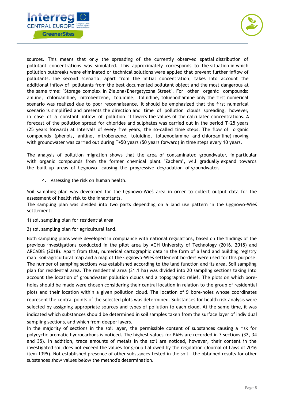



sources. This means that only the spreading of the currently observed spatial distribution of pollutant concentrations was simulated. This approximately corresponds to the situation in which pollution outbreaks were eliminated or technical solutions were applied that prevent further inflow of pollutants. The second scenario, apart from the initial concentration, takes into account the additional inflow of pollutants from the best documented pollutant object and the most dangerous at the same time: "Storage complex in Zielona/Energetyczna Street". For other organic compounds: aniline, chloroaniline, nitrobenzene, toluidine, toluidine, toluenodiamine only the first numerical scenario was realized due to poor reconnaissance. It should be emphasized that the first numerical scenario is simplified and presents the direction and time of pollution clouds spreading, however, in case of a constant inflow of pollution it lowers the values of the calculated concentrations. A forecast of the pollution spread for chlorides and sulphates was carried out in the period T+25 years (25 years forward) at intervals of every five years, the so-called time steps. The flow of organic compounds (phenols, aniline, nitrobenzene, toluidine, toluenodiamine and chloroaniline) moving with groundwater was carried out during T+50 years (50 years forward) in time steps every 10 years.

The analysis of pollution migration shows that the area of contaminated groundwater, in particular with organic compounds from the former chemical plant "Zachem", will gradually expand towards the built-up areas of Łęgnowo, causing the progressive degradation of groundwater.

4. Assessing the risk on human health.

Soil sampling plan was developed for the Łęgnowo-Wieś area in order to collect output data for the assessment of health risk to the inhabitants.

The sampling plan was divided into two parts depending on a land use pattern in the Łęgnowo-Wieś settlement:

- 1) soil sampling plan for residential area
- 2) soil sampling plan for agricultural land.

Both sampling plans were developed in compliance with national regulations, based on the findings of the previous investigations conducted in the pilot area by AGH University of Technology (2016, 2018) and ARCADIS (2018). Apart from that, numerical cartographic data in the form of a land and building registry map, soil-agricultural map and a map of the Łęgnowo-Wieś settlement borders were used for this purpose. The number of sampling sections was established according to the land function and its area. Soil sampling plan for residential area. The residential area (31.1 ha) was divided into 20 sampling sections taking into account the location of groundwater pollution clouds and a topographic relief. The plots on which boreholes should be made were chosen considering their central location in relation to the group of residential plots and their location within a given pollution cloud. The location of 9 bore-holes whose coordinates represent the central points of the selected plots was determined. Substances for health risk analysis were selected by assigning appropriate sources and types of pollution to each cloud. At the same time, it was indicated which substances should be determined in soil samples taken from the surface layer of individual sampling sections, and which from deeper layers.

In the majority of sections in the soil layer, the permissible content of substances causing a risk for polycyclic aromatic hydrocarbons is noticed. The highest values for PAHs are recorded in 3 sections (32, 34 and 35). In addition, trace amounts of metals in the soil are noticed, however, their content in the investigated soil does not exceed the values for group I allowed by the regulation (Journal of Laws of 2016 item 1395). Not established presence of other substances tested in the soil - the obtained results for other substances show values below the method's determination.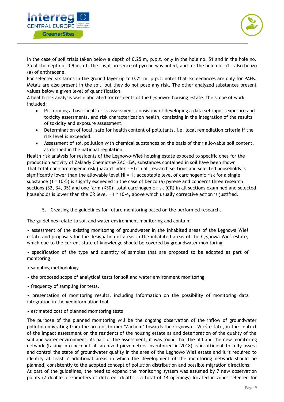



In the case of soil trials taken below a depth of 0.25 m, p.p.t. only in the hole no. 51 and in the hole no. 25 at the depth of 0.9 m.p.t. the slight presence of pyrene was noted, and for the hole no. 51 - also benzo (a) of anthracene.

For selected six farms in the ground layer up to 0.25 m, p.p.t. notes that exceedances are only for PAHs. Metals are also present in the soil, but they do not pose any risk. The other analyzed substances present values below a given level of quantification.

A health risk analysis was elaborated for residents of the Łęgnowo- housing estate, the scope of work included:

- Performing a basic health risk assessment, consisting of developing a data set input, exposure and toxicity assessments, and risk characterization health, consisting in the integration of the results of toxicity and exposure assessment.
- Determination of local, safe for health content of pollutants, i.e. local remediation criteria if the risk level is exceeded.
- Assessment of soil pollution with chemical substances on the basis of their allowable soil content, as defined in the national regulation.

Health risk analysis for residents of the Łęgnowo-Wieś housing estate exposed to specific ones for the production activity of Zakłady Chemiczne ZACHEM, substances contained in soil have been shown That total non-carcinogenic risk (hazard index - HI) in all research sections and selected households is significantly lower than the allowable level HI = 1; acceptable level of carcinogenic risk for a single substance (1 \* 10-5) is slightly exceeded in the case of benzo (a) pyrene and concerns three research sections (32, 34, 35) and one farm (K30); total carcinogenic risk (CR) in all sections examined and selected households is lower than the CR level = 1 \* 10-4, above which usually corrective action is justified.

5. Creating the guidelines for future monitoring based on the performed research.

The guidelines relate to soil and water environment monitoring and contain:

• assessment of the existing monitoring of groundwater in the inhabited areas of the Legnowa Wieś estate and proposals for the designation of areas in the inhabited areas of the Łęgnowa Wieś estate, which due to the current state of knowledge should be covered by groundwater monitoring

• specification of the type and quantity of samples that are proposed to be adopted as part of monitoring

- sampling methodology
- the proposed scope of analytical tests for soil and water environment monitoring
- frequency of sampling for tests,

• presentation of monitoring results, including information on the possibility of monitoring data integration in the geoinformation tool

• estimated cost of planned monitoring tests

The purpose of the planned monitoring will be the ongoing observation of the inflow of groundwater pollution migrating from the area of former "Zachem" towards the Łęgnowo - Wieś estate, in the context of the impact assessment on the residents of the housing estate as and deterioration of the quality of the soil and water environment. As part of the assessment, it was found that the old and the new monitoring network (taking into account all archived piezometers inventoried in 2018) is insufficient to fully assess and control the state of groundwater quality in the area of the Łęgnowo Wieś estate and it is required to identify at least 7 additional areas in which the development of the monitoring network should be planned, consistently to the adopted concept of pollution distribution and possible migration directions.

As part of the guidelines, the need to expand the monitoring system was assumed by 7 new observation points (7 double piezometers of different depths - a total of 14 openings) located in zones selected for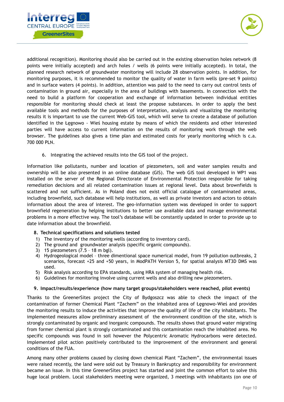



additional recognition). Monitoring should also be carried out in the existing observation holes network (8 points were initially accepted) and arch holes / wells (6 points were initially accepted). In total, the planned research network of groundwater monitoring will include 28 observation points. In addition, for monitoring purposes, it is recommended to monitor the quality of water in farm wells (pre-set 9 points) and in surface waters (4 points). In addition, attention was paid to the need to carry out control tests of contamination in ground air, especially in the area of buildings with basements. In connection with the need to build a platform for cooperation and exchange of information between individual entities responsible for monitoring should check at least the propose substances. In order to apply the best available tools and methods for the purposes of interpretation, analysis and visualizing the monitoring results it is important to use the current Web-GIS tool, which will serve to create a database of pollution identified in the Łęgnowo - Wieś housing estate by means of which the residents and other interested parties will have access to current information on the results of monitoring work through the web browser. The guidelines also gives a time plan and estimated costs for yearly monitoring which is c.a. 700 000 PLN.

6. Integrating the achieved results into the GIS tool of the project.

Information like pollutants, number and location of piezometers, soil and water samples results and ownership will be also presented in an online database (GIS). The web GIS tool developed in WP1 was installed on the server of the Regional Directorate of Environmental Protection responsible for taking remediation decisions and all related contamination issues at regional level. Data about brownfields is scattered and not sufficient. As in Poland does not exist official catalogue of contaminated areas, including brownfield, such database will help institutions, as well as private investors and actors to obtain information about the area of interest. The geo-information system was developed in order to support brownfield regeneration by helping institutions to better use available data and manage environmental problems in a more effective way. The tool's database will be constantly updated in order to provide up to date information about the brownfield.

#### **8. Technical specifications and solutions tested**

- 1) The inventory of the monitoring wells (according to inventory card).
- 2) The ground and groundwater analysis (specific organic compounds).
- 3) 15 piezometers (7.5 18 m bgl).
- 4) Hydrogeological model three dimentional space numerical model, from 19 pollution outbreaks, 2 scenarios, forecast +25 and +50 years, in ModPATH Version 5, for spatial analysis MT3D DMS was used.
- 5) Risk analysis according to EPA standards, using HRA system of managing health risk.
- 6) Guidelines for monitoring involve using current wells and also drilling new piezometers.

#### **9. Impact/results/experience (how many target groups/stakeholders were reached, pilot events)**

Thanks to the GreenerSites project the City of Bydgoszcz was able to check the impact of the contamination of former Chemical Plant "Zachem" on the inhabited area of Łęgnowo-Wieś and provides the monitoring results to induce the activities that improve the quality of life of the city inhabitants. The implemented measures allow preliminary assessment of the environment condition of the site, which is strongly contaminated by organic and inorganic compounds. The results shows that ground water migrating from former chemical plant is strongly contaminated and this contamination reach the inhabited area. No specific compounds was found in soil however the Polycentric Aromatic Hydrocarbons were detected. Implemented pilot action positively contributed to the improvement of the environment and general conditions of the FUA.

Among many other problems caused by closing down chemical Plant "Zachem", the environmental issues were raised recently, the land were sold out by Treasury in Bankruptcy and responsibility for environment became an issue. In this time GreenerSites project has started and joint the common effort to solve this huge local problem. Local stakeholders meeting were organized, 3 meetings with inhabitants (on one of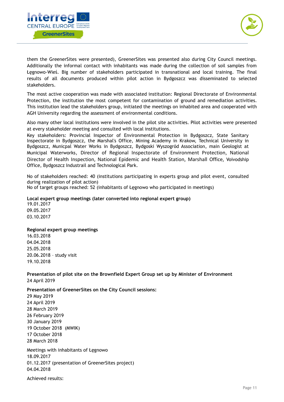



them the GreenerSites were presented), GreenerSites was presented also during City Council meetings. Additionally the informal contact with inhabitants was made during the collection of soil samples from Łęgnowo-Wieś. Big number of stakeholders participated in transnational and local training. The final results of all documents produced within pilot action in Bydgoszcz was disseminated to selected stakeholders.

The most active cooperation was made with associated institution: Regional Directorate of Environmental Protection, the institution the most competent for contamination of ground and remediation activities. This institution lead the stakeholders group, initiated the meetings on inhabited area and cooperated with AGH University regarding the assessment of environmental conditions.

Also many other local institutions were involved in the pilot site activities. Pilot activities were presented at every stakeholder meeting and consulted with local institutions.

Key stakeholders: Provincial Inspector of Environmental Protection in Bydgoszcz, State Sanitary Inspectorate in Bydgoszcz, the Marshal's Office, Mining Academy in Krakow, Technical University in Bydgoszcz, Municpal Water Works in Bydgoszcz, Bydgoski Wyszogród Association, main Geologist at Municipal Waterworks, Director of Regional Inspectorate of Environment Protection, National Director of Health Inspection, National Epidemic and Health Station, Marshall Office, Voivodship Office, Bydgoszcz Industrail and Technological Park.

No of stakeholders reached: 40 (institutions participating in experts group and pilot event, consulted during realization of pilot action)

No of target groups reached: 52 (inhabitants of Legnowo who participated in meetings)

#### **Local expert group meetings (later converted into regional expert group)**

19.01.2017 09.05.2017 03.10.2017

[29 May 2019](https://www.bydgoszcz.pl/fileadmin/multimedia/rozwoj/ZACHEM/2019_05_29_sesja_maj_ostateczna_wersja.pdf) 

#### **Regional expert group meetings**

16.03.2018 04.04.2018 25.05.2018 20.06.2018 – study visit 19.10.2018

**Presentation of pilot site on the Brownfield Expert Group set up by Minister of Environment** 24 April 2019

**Presentation of GreenerSites on the City Council sessions:**

[24 April 2019](https://www.bydgoszcz.pl/fileadmin/multimedia/aktualnosci/zzz_pojedyncze_Z/2019_04_24_sesja_KWIECIEN.pdf) [28 March](https://www.bydgoszcz.pl/fileadmin/multimedia/aktualnosci/zzz_pojedyncze_Z/2019_03_28_sesja_MARZEC.pdf) 2019 [26 February 2019](https://www.bydgoszcz.pl/fileadmin/multimedia/aktualnosci/zzz_pojedyncze_Z/2019_02_26_sesja_LUTY.pdf)  [30 January 2019](https://www.bydgoszcz.pl/fileadmin/multimedia/aktualnosci/zzz_pojedyncze_Z/2019_01_30_ZACHEM_sesja__popr._.pdf)  [19 October 2018 \(MWIK\)](https://www.bydgoszcz.pl/fileadmin/multimedia/aktualnosci/zzz_pojedyncze_Z/19_10_18_Prezentacja_-_MWIK.pdf) [17 October 2018](https://www.bydgoszcz.pl/fileadmin/multimedia/aktualnosci/zzz_pojedyncze_Z/2018_10_17_Zachem_sesja__popr._.pdf)  [28 March 2018](https://www.bydgoszcz.pl/fileadmin/multimedia/aktualnosci/zzz_pojedyncze_Z/2018_03_28_ZACHEM_Sesja.pdf)  Meetings with inhabitants of Łęgnowo 18.09.2017 01.12.2017 (presentation of GreenerSites project) 04.04.2018

Achieved results: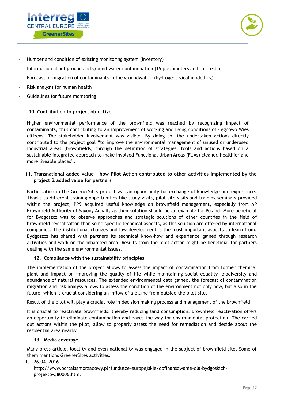



- Number and condition of existing monitoring system (inventory)
- Information about ground and ground water contamination (15 piezometers and soil tests)
- Forecast of migration of contaminants in the groundwater (hydrogeological modelling)
- Risk analysis for human health
- Guidelines for future monitoring

#### **10. Contribution to project objective**

Higher environmental performance of the brownfield was reached by recognizing impact of contaminants, thus contributing to an improvement of working and living conditions of Łęgnowo Wieś citizens. The stakeholder involvement was visible. By doing so, the undertaken actions directly contributed to the project goal "to improve the environmental management of unused or underused industrial areas (brownfields) through the definition of strategies, tools and actions based on a sustainable integrated approach to make involved Functional Urban Areas (FUAs) cleaner, healthier and more liveable places".

#### **11. Transnational added value – how Pilot Action contributed to other activities implemented by the project & added value for partners**

Participation in the GreenerSites project was an opportunity for exchange of knowledge and experience. Thanks to different training opportunities like study visits, pilot site visits and training seminars provided within the project, PP9 acquired useful knowledge on brownfield management, especially from AP Brownfield Authority of Saxony Anhalt, as their solution should be an example for Poland. More beneficial for Bydgoszcz was to observe approaches and strategic solutions of other countries in the field of brownfield revitalisation than some specific technical aspects, as this solution are offered by international companies. The institutional changes and law development is the most important aspects to learn from. Bydgoszcz has shared with partners its technical know-how and experience gained through research activities and work on the inhabited area. Results from the pilot action might be beneficial for partners dealing with the same environmental issues.

#### **12. Compliance with the sustainability principles**

The implementation of the project allows to assess the impact of contamination from former chemical plant and impact on improving the quality of life while maintaining social equality, biodiversity and abundance of natural resources. The extended environmental data gained, the forecast of contamination migration and risk analyss allows to assess the condition of the environment not only now, but also in the future, which is crucial considering an inflow of a plume from outside the pilot site.

Result of the pilot will play a crucial role in decision making process and management of the brownfield.

It is crucial to reactivate brownfields, thereby reducing land consumption. Brownfield reactivation offers an opportunity to eliminate contamination and paves the way for environmental protection. The carried out actions within the pilot, allow to properly assess the need for remediation and decide about the residential area nearby.

#### **13. Media coverage**

Many press article, local tv and even national tv was engaged in the subject of brownfield site. Some of them mentions GreenerSites activities.

1. 26.04. 2016

#### [http://www.portalsamorzadowy.pl/fundusze-europejskie/dofinansowanie-dla-bydgoskich](http://www.portalsamorzadowy.pl/fundusze-europejskie/dofinansowanie-dla-bydgoskich-projektow,80006.html)[projektow,80006.html](http://www.portalsamorzadowy.pl/fundusze-europejskie/dofinansowanie-dla-bydgoskich-projektow,80006.html)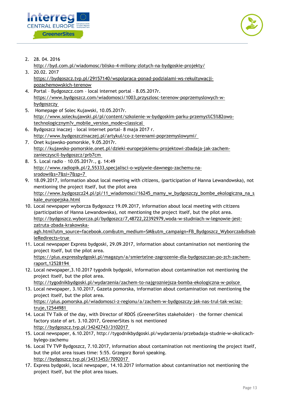



- 2. 28. 04. 2016
- <http://byd.com.pl/wiadomosc/blisko-4-miliony-zlotych-na-bydgoskie-projekty/> 3. 20.02. 2017
	- [https://bydgoszcz.tvp.pl/29157140/wspolpraca-ponad-podzialami-ws-rekultywacji](https://bydgoszcz.tvp.pl/29157140/wspolpraca-ponad-podzialami-ws-rekultywacji-pozachemowskich-terenow)[pozachemowskich-terenow](https://bydgoszcz.tvp.pl/29157140/wspolpraca-ponad-podzialami-ws-rekultywacji-pozachemowskich-terenow)
- 4. Portal Bydgoszcz.com local internet portal 8.05.2017r. https://www.bydgoszcz.com/wiadomosci/1003,przyszlosc-terenow-poprzemyslowych-wbydgoszczy
- 5. Homepage of Solec Kujawski, 10.05.2017r. [http://www.soleckujawski.pl/pl/content/szkolenie-w-bydgoskim-parku-przemys%C5%82owo](http://www.soleckujawski.pl/pl/content/szkolenie-w-bydgoskim-parku-przemys%C5%82owo-technologicznym?v_mobile_version_mode=classical)[technologicznym?v\\_mobile\\_version\\_mode=classical](http://www.soleckujawski.pl/pl/content/szkolenie-w-bydgoskim-parku-przemys%C5%82owo-technologicznym?v_mobile_version_mode=classical)
- 6. Bydgoszcz inaczej local internet portal- 8 maja 2017 r. http://www.bydgoszczinaczej.pl/artykul/co-z-terenami-poprzemyslowymi/
- 7. Onet kujawsko-pomorskie, 9.05.2017r. http://kujawsko-pomorskie.onet.pl/dzieki-europejskiemu-projektowi-zbadaja-jak-zachemzanieczyscil-bydgoszcz/prb7cm
- 8. 5. Local radio 10.05.2017r., g. 14:49 http://www.radiopik.pl/2,55333,specjalisci-o-wplywie-dawnego-zachemu-nasrodowi&s=7&si=7&sp=7
- 9. 18.09.2017, information about local meeting with citizens, (participation of Hanna Lewandowska), not mentioning the project itself, but the pilot area http://www.bydgoszcz24.pl/pl/11\_wiadomosci/16245\_mamy\_w\_bydgoszczy\_bombe\_ekologiczna\_na\_s kale\_europejska.html
- 10. Local newspaper wyborcza Bydgoszcz 19.09.2017, information about local meeting with citizens (participation of Hanna Lewandowska), not mentioning the project itself, but the pilot area. http://bydgoszcz.wyborcza.pl/bydgoszcz/7,48722,22392979,woda-w-studniach-w-legnowie-jestzatruta-zbada-krakowska-

agh.html?utm\_source=facebook.com&utm\_medium=SM&utm\_campaign=FB\_Bydgoszcz\_Wyborcza&disab leRedirects=true

- 11. Local newspaper Express bydgoski, 29.09.2017, information about contamination not mentioning the project itself, but the pilot area. https://plus.expressbydgoski.pl/magazyn/a/smiertelne-zagrozenie-dla-bydgoszczan-po-zch-zachemraport,12528194
- 12. Local newspaper,3.10.2017 tygodnik bydgoski, information about contamination not mentioning the project itself, but the pilot area.

http://tygodnikbydgoski.pl/wydarzenia/zachem-to-najgrozniejsza-bomba-ekologiczna-w-polsce

- 13. Local newspaper, 3.10.2017, Gazeta pomorska, information about contamination not mentioning the project itself, but the pilot area. https://plus.pomorska.pl/wiadomosci-z-regionu/a/zachem-w-bydgoszczy-jak-nas-trul-tak-wciaztruje,12544981
- 14. Local TV Talk of the day, with Director of RDOŚ (GreenerSites stakeholder) the former chemical factory state of art. 3.10.2017, GreenerSites is not mentioned http://bydgoszcz.tvp.pl/34242743/3102017
- 15. Local newspaper, 6.10.2017, http://tygodnikbydgoski.pl/wydarzenia/przebadaja-studnie-w-okolicachbylego-zachemu
- 16. Local TV TVP Bydgoszcz, 7.10.2017, information about contamination not mentioning the project itself, but the pilot area issues time: 5:55. Grzegorz Boroń speaking. http://bydgoszcz.tvp.pl/34313453/7092017
- 17. Express bydgoski, local newspaper, 14.10.2017 information about contamination not mentioning the project itself, but the pilot area issues.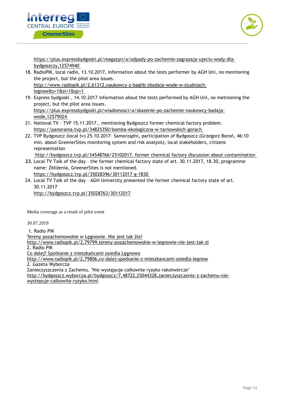



https://plus.expressbydgoski.pl/magazyn/a/odpady-po-zachemie-zagrazaja-ujeciu-wody-dlabydgoszczy,12574940

- 18. RadioPIK, local radio, 13.10.2017, information about the tests performer by AGH Uni, no mentioning the project, but the pilot area issues. http://www.radiopik.pl/2,61312,naukowcy-z-baghb-zbadaja-wode-w-studniachlegnow&s=1&si=1&sp=1
- 19. Express bydgoski , 14.10.2017 information about the tests performed by AGH Uni, no metnioning the project, but the pilot area issues. https://plus.expressbydgoski.pl/wiadomosci/a/skazenie-po-zachemie-naukowcy-badajawode,12579024
- 21. National TV TVP 15.11.2017., mentioning Bydgoszcz former chemical factory problem. https://panorama.tvp.pl/34825350/bomba-ekologiczna-w-tarnowskich-gorach
- 22. TVP Bydgoszcz (local tv) 25.10.2017– Samorządni, participation of Bydgoszcz (Grzegorz Boroń, 46:10 min. about GreenerSites monitoring system and risk analysis), local stakeholders, citizens representation

http://bydgoszcz.tvp.pl/34548766/25102017, former chemical factory discussion about contamination

- **23.** Local TV Talk of the day the former chemical factory state of art. 30.11.2017, 18.30, programme name: Zbliżenia, GreenerSites is not mentioned. https://bydgoszcz.tvp.pl/35028396/30112017-g-1830
- 24. Local TV Talk of the day AGH University presented the former chemical factory state of art. 30.11.2017 <http://bydgoszcz.tvp.pl/35028763/30112017>

Media coverage as a result of pilot event

30.07.2019

1. Radio PIK [Tereny pozachemowskie w Łęgnowie. Nie jest tak źle?](http://www.radiopik.pl/2,79799,tereny-pozachemowskie-w-legnowie-nie-jest-tak-zl) <http://www.radiopik.pl/2,79799,tereny-pozachemowskie-w-legnowie-nie-jest-tak-zl> 2. Radio PIK [Co dalej? Spotkanie z mieszkańcami osiedla Łęgnowo](http://www.radiopik.pl/2,79806,co-dalej-spotkanie-z-mieszkancami-osiedla-legnow) <http://www.radiopik.pl/2,79806,co-dalej-spotkanie-z-mieszkancami-osiedla-legnow> 2. Gazeta Wyborcza Zanieczyszczenia z Zachemu. "Nie występuje całkowite ryzyko rakotwórcze" [http://bydgoszcz.wyborcza.pl/bydgoszcz/7,48722,25044328,zanieczyszczenia-z-zachemu-nie](http://bydgoszcz.wyborcza.pl/bydgoszcz/7,48722,25044328,zanieczyszczenia-z-zachemu-nie-wystepuje-calkowite-ryzyko.html)[wystepuje-calkowite-ryzyko.html](http://bydgoszcz.wyborcza.pl/bydgoszcz/7,48722,25044328,zanieczyszczenia-z-zachemu-nie-wystepuje-calkowite-ryzyko.html)